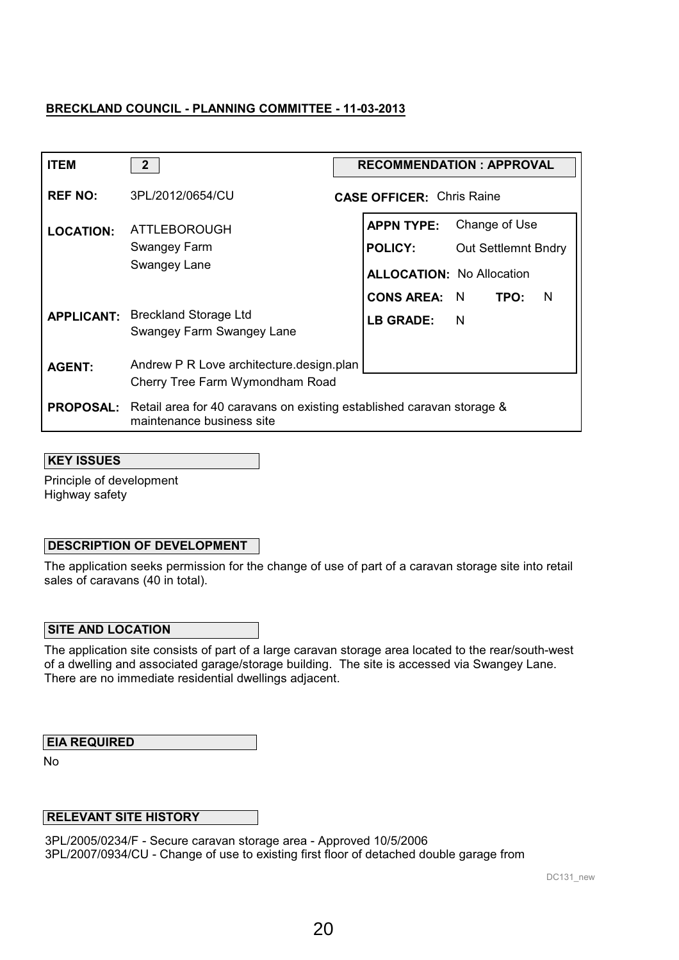| <b>ITEM</b>       | $\mathbf{2}$                                                                                                        | <b>RECOMMENDATION: APPROVAL</b>                                                                                        |
|-------------------|---------------------------------------------------------------------------------------------------------------------|------------------------------------------------------------------------------------------------------------------------|
| <b>REF NO:</b>    | 3PL/2012/0654/CU                                                                                                    | <b>CASE OFFICER: Chris Raine</b>                                                                                       |
| <b>LOCATION:</b>  | <b>ATTLEBOROUGH</b><br>Swangey Farm<br>Swangey Lane                                                                 | <b>APPN TYPE:</b><br>Change of Use<br><b>POLICY:</b><br><b>Out Settlemnt Bndry</b><br><b>ALLOCATION: No Allocation</b> |
| <b>APPLICANT:</b> | <b>Breckland Storage Ltd</b><br>Swangey Farm Swangey Lane                                                           | <b>CONS AREA: N</b><br>TPO:<br>$\mathsf{N}$<br>$\blacksquare$<br>LB GRADE:                                             |
| <b>AGENT:</b>     | Andrew P R Love architecture.design.plan<br>Cherry Tree Farm Wymondham Road                                         |                                                                                                                        |
|                   | <b>PROPOSAL:</b> Retail area for 40 caravans on existing established caravan storage &<br>maintenance business site |                                                                                                                        |

### **KEY ISSUES**

Principle of development Highway safety

## **DESCRIPTION OF DEVELOPMENT**

The application seeks permission for the change of use of part of a caravan storage site into retail sales of caravans (40 in total).

#### **SITE AND LOCATION**

The application site consists of part of a large caravan storage area located to the rear/south-west of a dwelling and associated garage/storage building. The site is accessed via Swangey Lane. There are no immediate residential dwellings adjacent.

## **EIA REQUIRED**

No

## **RELEVANT SITE HISTORY**

3PL/2005/0234/F - Secure caravan storage area - Approved 10/5/2006 3PL/2007/0934/CU - Change of use to existing first floor of detached double garage from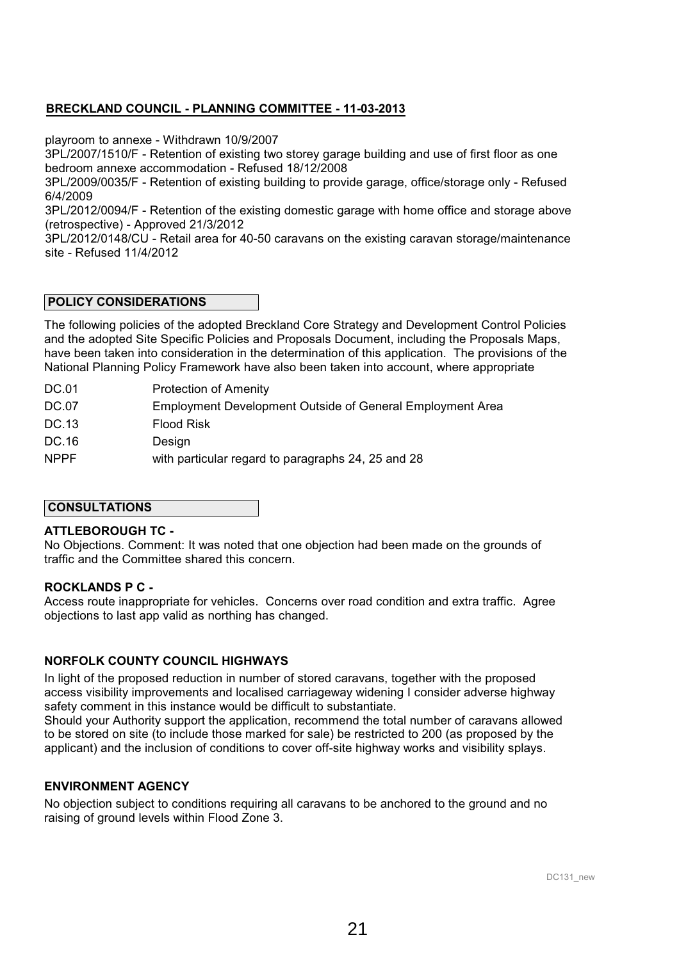playroom to annexe - Withdrawn 10/9/2007

3PL/2007/1510/F - Retention of existing two storey garage building and use of first floor as one bedroom annexe accommodation - Refused 18/12/2008

3PL/2009/0035/F - Retention of existing building to provide garage, office/storage only - Refused 6/4/2009

3PL/2012/0094/F - Retention of the existing domestic garage with home office and storage above (retrospective) - Approved 21/3/2012

3PL/2012/0148/CU - Retail area for 40-50 caravans on the existing caravan storage/maintenance site - Refused 11/4/2012

### **POLICY CONSIDERATIONS**

The following policies of the adopted Breckland Core Strategy and Development Control Policies and the adopted Site Specific Policies and Proposals Document, including the Proposals Maps, have been taken into consideration in the determination of this application. The provisions of the National Planning Policy Framework have also been taken into account, where appropriate

- DC.01 Protection of Amenity
- DC.07 Employment Development Outside of General Employment Area
- DC.13 Flood Risk
- DC.16 Design
- NPPF with particular regard to paragraphs 24, 25 and 28

#### **CONSULTATIONS**

#### **ATTLEBOROUGH TC -**

No Objections. Comment: It was noted that one objection had been made on the grounds of traffic and the Committee shared this concern.

#### **ROCKLANDS P C -**

Access route inappropriate for vehicles. Concerns over road condition and extra traffic. Agree objections to last app valid as northing has changed.

## **NORFOLK COUNTY COUNCIL HIGHWAYS**

In light of the proposed reduction in number of stored caravans, together with the proposed access visibility improvements and localised carriageway widening I consider adverse highway safety comment in this instance would be difficult to substantiate.

Should your Authority support the application, recommend the total number of caravans allowed to be stored on site (to include those marked for sale) be restricted to 200 (as proposed by the applicant) and the inclusion of conditions to cover off-site highway works and visibility splays.

#### **ENVIRONMENT AGENCY**

No objection subject to conditions requiring all caravans to be anchored to the ground and no raising of ground levels within Flood Zone 3.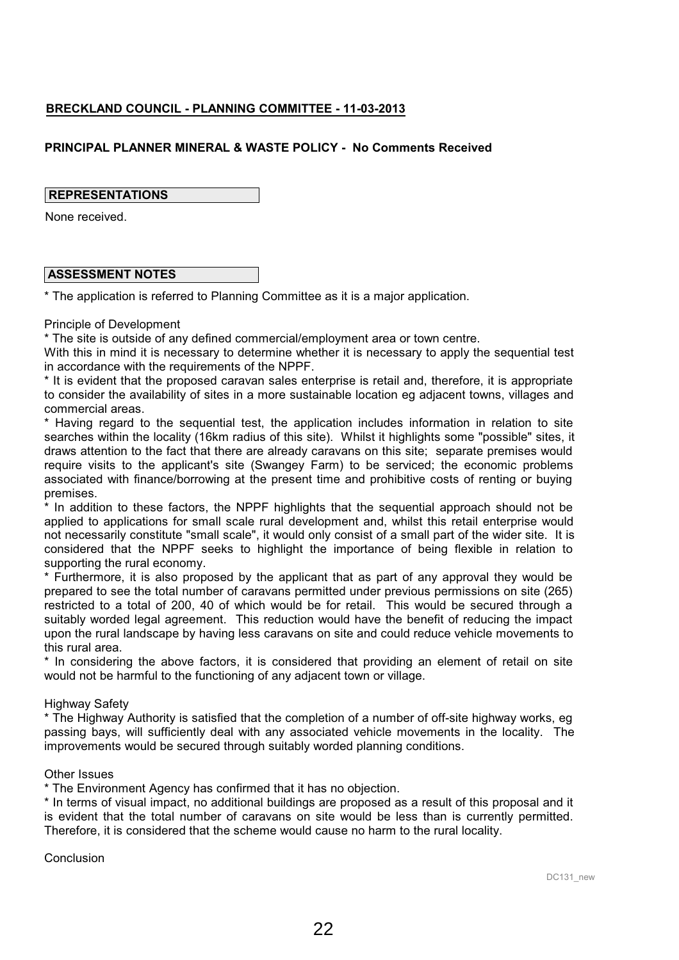## **PRINCIPAL PLANNER MINERAL & WASTE POLICY - No Comments Received**

### **REPRESENTATIONS**

None received.

### **ASSESSMENT NOTES**

\* The application is referred to Planning Committee as it is a major application.

#### Principle of Development

\* The site is outside of any defined commercial/employment area or town centre.

With this in mind it is necessary to determine whether it is necessary to apply the sequential test in accordance with the requirements of the NPPF.

\* It is evident that the proposed caravan sales enterprise is retail and, therefore, it is appropriate to consider the availability of sites in a more sustainable location eg adjacent towns, villages and commercial areas.

\* Having regard to the sequential test, the application includes information in relation to site searches within the locality (16km radius of this site). Whilst it highlights some "possible" sites, it draws attention to the fact that there are already caravans on this site; separate premises would require visits to the applicant's site (Swangey Farm) to be serviced; the economic problems associated with finance/borrowing at the present time and prohibitive costs of renting or buying premises.

\* In addition to these factors, the NPPF highlights that the sequential approach should not be applied to applications for small scale rural development and, whilst this retail enterprise would not necessarily constitute "small scale", it would only consist of a small part of the wider site. It is considered that the NPPF seeks to highlight the importance of being flexible in relation to supporting the rural economy.

\* Furthermore, it is also proposed by the applicant that as part of any approval they would be prepared to see the total number of caravans permitted under previous permissions on site (265) restricted to a total of 200, 40 of which would be for retail. This would be secured through a suitably worded legal agreement. This reduction would have the benefit of reducing the impact upon the rural landscape by having less caravans on site and could reduce vehicle movements to this rural area.

\* In considering the above factors, it is considered that providing an element of retail on site would not be harmful to the functioning of any adjacent town or village.

#### **Highway Safety**

\* The Highway Authority is satisfied that the completion of a number of off-site highway works, eg passing bays, will sufficiently deal with any associated vehicle movements in the locality. The improvements would be secured through suitably worded planning conditions.

#### Other Issues

\* The Environment Agency has confirmed that it has no objection.

\* In terms of visual impact, no additional buildings are proposed as a result of this proposal and it is evident that the total number of caravans on site would be less than is currently permitted. Therefore, it is considered that the scheme would cause no harm to the rural locality.

#### **Conclusion**